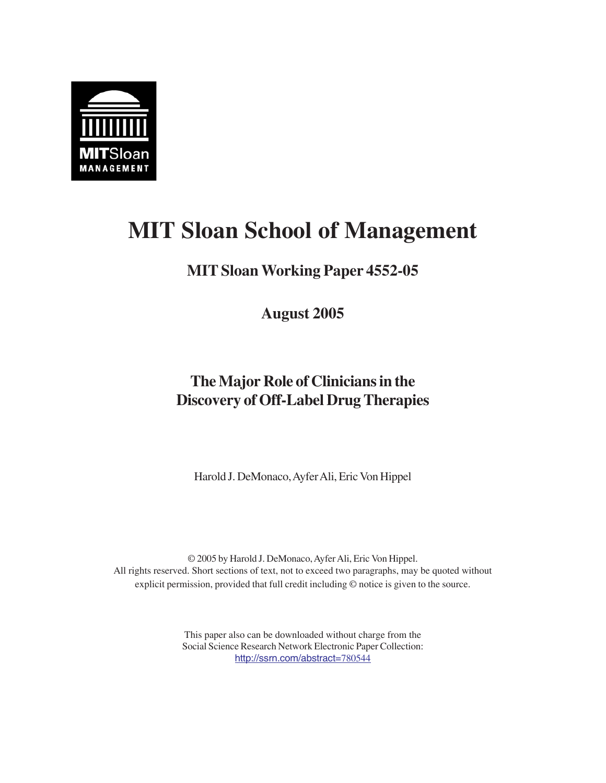

# **MIT Sloan School of Management**

## **MIT Sloan Working Paper 4552-05**

**August 2005**

# **The Major Role of Clinicians in the Discovery of Off-Label Drug Therapies**

Harold J. DeMonaco, Ayfer Ali, Eric Von Hippel

© 2005 by Harold J. DeMonaco, Ayfer Ali, Eric Von Hippel. All rights reserved. Short sections of text, not to exceed two paragraphs, may be quoted without explicit permission, provided that full credit including © notice is given to the source.

> This paper also can be downloaded without charge from the Social Science Research Network Electronic Paper Collection: http://ssrn.com/abstract=780544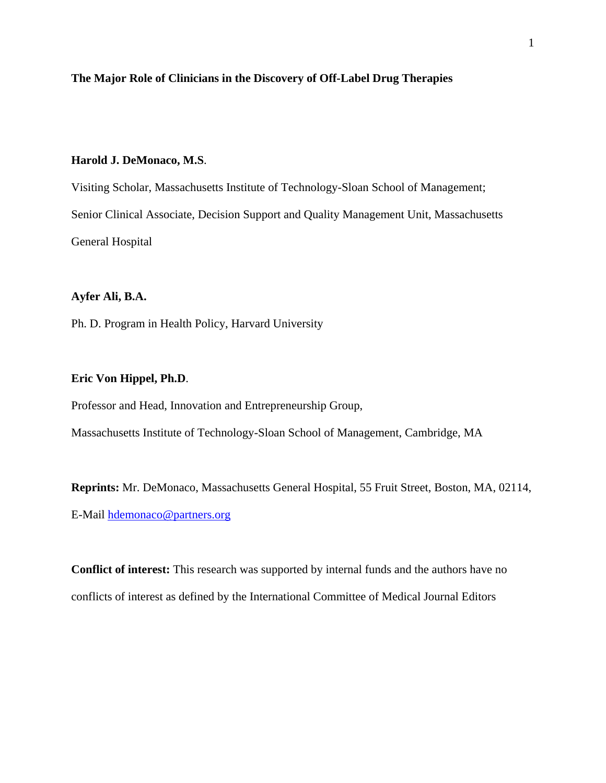#### **The Major Role of Clinicians in the Discovery of Off-Label Drug Therapies**

#### **Harold J. DeMonaco, M.S**.

Visiting Scholar, Massachusetts Institute of Technology-Sloan School of Management; Senior Clinical Associate, Decision Support and Quality Management Unit, Massachusetts General Hospital

#### **Ayfer Ali, B.A.**

Ph. D. Program in Health Policy, Harvard University

#### **Eric Von Hippel, Ph.D**.

Professor and Head, Innovation and Entrepreneurship Group,

Massachusetts Institute of Technology-Sloan School of Management, Cambridge, MA

**Reprints:** Mr. DeMonaco, Massachusetts General Hospital, 55 Fruit Street, Boston, MA, 02114, E-Mail hdemonaco@partners.org

**Conflict of interest:** This research was supported by internal funds and the authors have no conflicts of interest as defined by the International Committee of Medical Journal Editors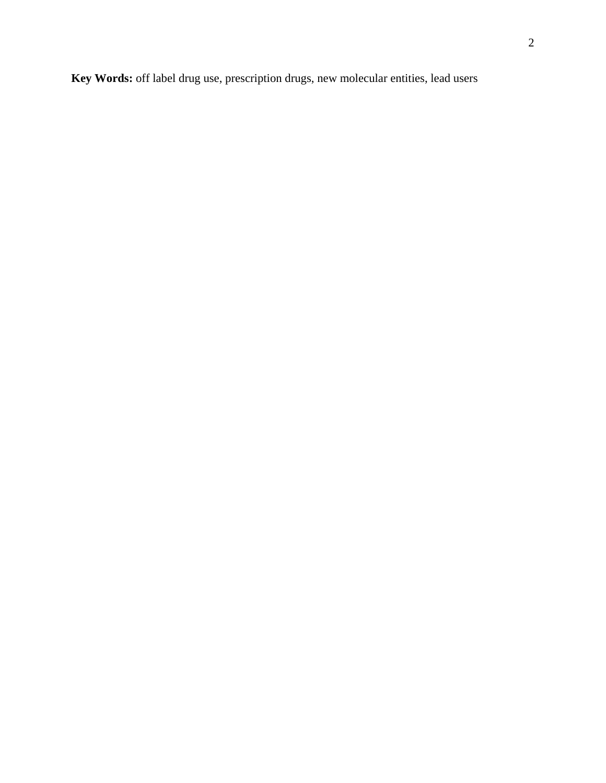**Key Words:** off label drug use, prescription drugs, new molecular entities, lead users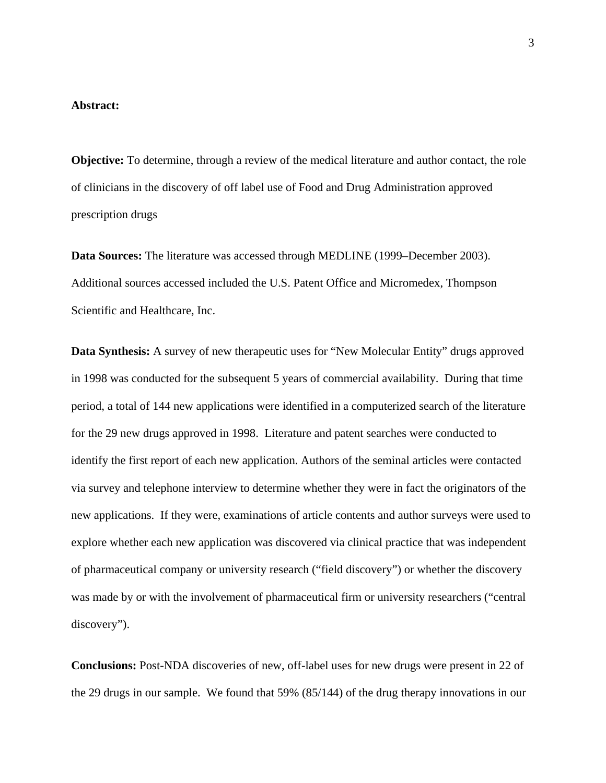#### **Abstract:**

**Objective:** To determine, through a review of the medical literature and author contact, the role of clinicians in the discovery of off label use of Food and Drug Administration approved prescription drugs

**Data Sources:** The literature was accessed through MEDLINE (1999–December 2003). Additional sources accessed included the U.S. Patent Office and Micromedex, Thompson Scientific and Healthcare, Inc.

**Data Synthesis:** A survey of new therapeutic uses for "New Molecular Entity" drugs approved in 1998 was conducted for the subsequent 5 years of commercial availability. During that time period, a total of 144 new applications were identified in a computerized search of the literature for the 29 new drugs approved in 1998. Literature and patent searches were conducted to identify the first report of each new application. Authors of the seminal articles were contacted via survey and telephone interview to determine whether they were in fact the originators of the new applications. If they were, examinations of article contents and author surveys were used to explore whether each new application was discovered via clinical practice that was independent of pharmaceutical company or university research ("field discovery") or whether the discovery was made by or with the involvement of pharmaceutical firm or university researchers ("central discovery").

**Conclusions:** Post-NDA discoveries of new, off-label uses for new drugs were present in 22 of the 29 drugs in our sample. We found that 59% (85/144) of the drug therapy innovations in our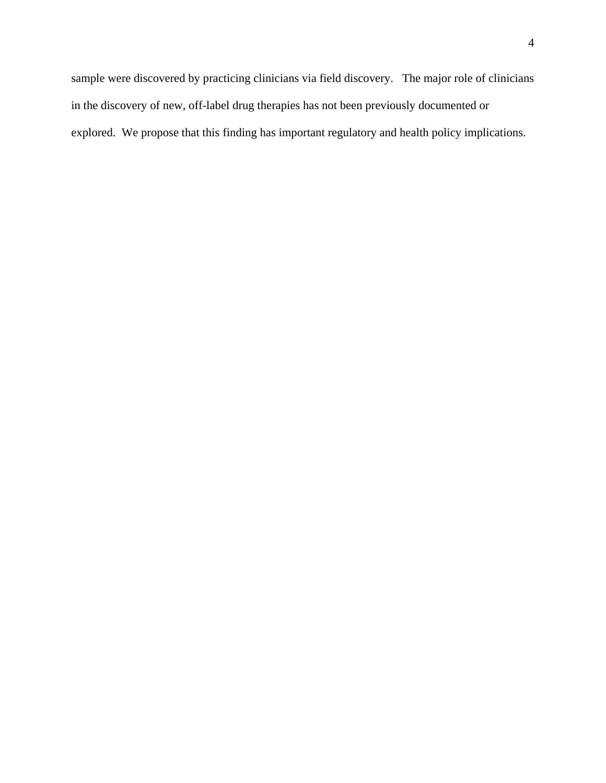4

sample were discovered by practicing clinicians via field discovery. The major role of clinicians in the discovery of new, off-label drug therapies has not been previously documented or explored. We propose that this finding has important regulatory and health policy implications.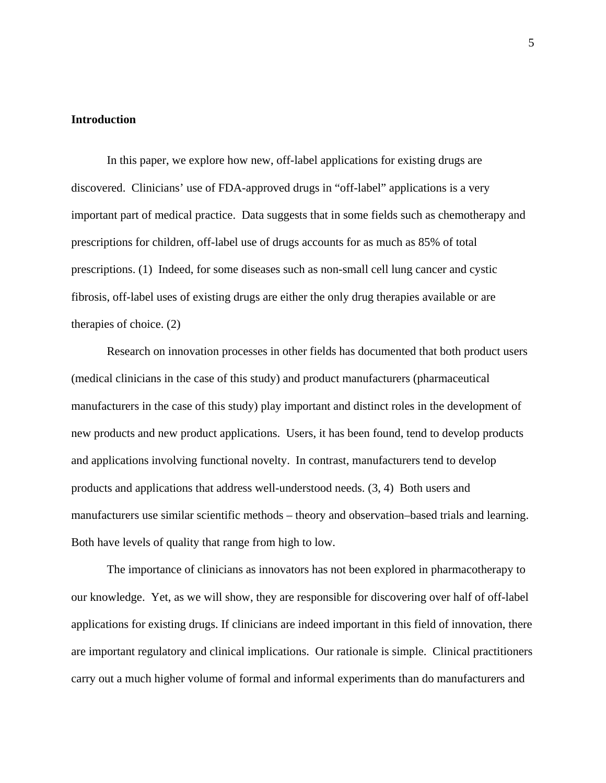#### **Introduction**

In this paper, we explore how new, off-label applications for existing drugs are discovered. Clinicians' use of FDA-approved drugs in "off-label" applications is a very important part of medical practice. Data suggests that in some fields such as chemotherapy and prescriptions for children, off-label use of drugs accounts for as much as 85% of total prescriptions. (1) Indeed, for some diseases such as non-small cell lung cancer and cystic fibrosis, off-label uses of existing drugs are either the only drug therapies available or are therapies of choice. (2)

Research on innovation processes in other fields has documented that both product users (medical clinicians in the case of this study) and product manufacturers (pharmaceutical manufacturers in the case of this study) play important and distinct roles in the development of new products and new product applications. Users, it has been found, tend to develop products and applications involving functional novelty. In contrast, manufacturers tend to develop products and applications that address well-understood needs. (3, 4) Both users and manufacturers use similar scientific methods – theory and observation–based trials and learning. Both have levels of quality that range from high to low.

The importance of clinicians as innovators has not been explored in pharmacotherapy to our knowledge. Yet, as we will show, they are responsible for discovering over half of off-label applications for existing drugs. If clinicians are indeed important in this field of innovation, there are important regulatory and clinical implications. Our rationale is simple. Clinical practitioners carry out a much higher volume of formal and informal experiments than do manufacturers and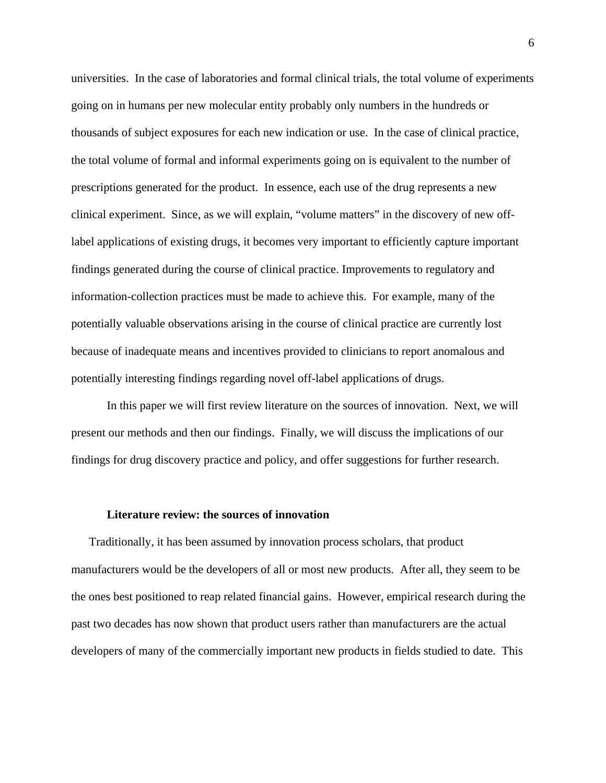universities. In the case of laboratories and formal clinical trials, the total volume of experiments going on in humans per new molecular entity probably only numbers in the hundreds or thousands of subject exposures for each new indication or use. In the case of clinical practice, the total volume of formal and informal experiments going on is equivalent to the number of prescriptions generated for the product. In essence, each use of the drug represents a new clinical experiment. Since, as we will explain, "volume matters" in the discovery of new offlabel applications of existing drugs, it becomes very important to efficiently capture important findings generated during the course of clinical practice. Improvements to regulatory and information-collection practices must be made to achieve this. For example, many of the potentially valuable observations arising in the course of clinical practice are currently lost because of inadequate means and incentives provided to clinicians to report anomalous and potentially interesting findings regarding novel off-label applications of drugs.

In this paper we will first review literature on the sources of innovation. Next, we will present our methods and then our findings. Finally, we will discuss the implications of our findings for drug discovery practice and policy, and offer suggestions for further research.

#### **Literature review: the sources of innovation**

 Traditionally, it has been assumed by innovation process scholars, that product manufacturers would be the developers of all or most new products. After all, they seem to be the ones best positioned to reap related financial gains. However, empirical research during the past two decades has now shown that product users rather than manufacturers are the actual developers of many of the commercially important new products in fields studied to date. This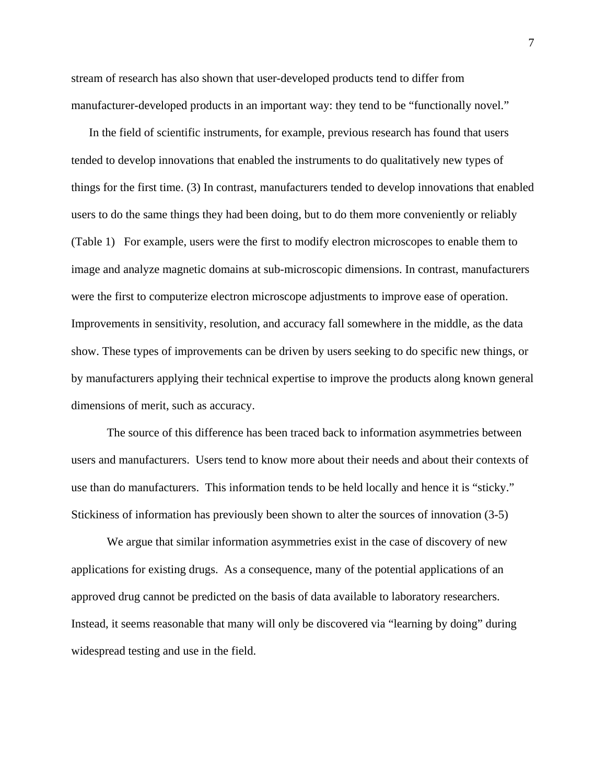stream of research has also shown that user-developed products tend to differ from manufacturer-developed products in an important way: they tend to be "functionally novel."

 In the field of scientific instruments, for example, previous research has found that users tended to develop innovations that enabled the instruments to do qualitatively new types of things for the first time. (3) In contrast, manufacturers tended to develop innovations that enabled users to do the same things they had been doing, but to do them more conveniently or reliably (Table 1) For example, users were the first to modify electron microscopes to enable them to image and analyze magnetic domains at sub-microscopic dimensions. In contrast, manufacturers were the first to computerize electron microscope adjustments to improve ease of operation. Improvements in sensitivity, resolution, and accuracy fall somewhere in the middle, as the data show. These types of improvements can be driven by users seeking to do specific new things, or by manufacturers applying their technical expertise to improve the products along known general dimensions of merit, such as accuracy.

The source of this difference has been traced back to information asymmetries between users and manufacturers. Users tend to know more about their needs and about their contexts of use than do manufacturers. This information tends to be held locally and hence it is "sticky." Stickiness of information has previously been shown to alter the sources of innovation (3-5)

We argue that similar information asymmetries exist in the case of discovery of new applications for existing drugs. As a consequence, many of the potential applications of an approved drug cannot be predicted on the basis of data available to laboratory researchers. Instead, it seems reasonable that many will only be discovered via "learning by doing" during widespread testing and use in the field.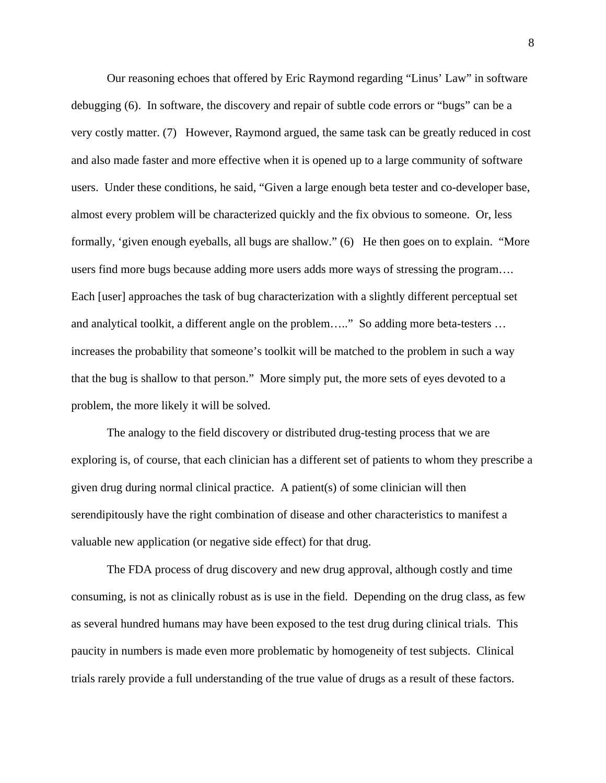Our reasoning echoes that offered by Eric Raymond regarding "Linus' Law" in software debugging (6). In software, the discovery and repair of subtle code errors or "bugs" can be a very costly matter. (7) However, Raymond argued, the same task can be greatly reduced in cost and also made faster and more effective when it is opened up to a large community of software users. Under these conditions, he said, "Given a large enough beta tester and co-developer base, almost every problem will be characterized quickly and the fix obvious to someone. Or, less formally, 'given enough eyeballs, all bugs are shallow." (6) He then goes on to explain. "More users find more bugs because adding more users adds more ways of stressing the program…. Each [user] approaches the task of bug characterization with a slightly different perceptual set and analytical toolkit, a different angle on the problem….." So adding more beta-testers ... increases the probability that someone's toolkit will be matched to the problem in such a way that the bug is shallow to that person." More simply put, the more sets of eyes devoted to a problem, the more likely it will be solved.

The analogy to the field discovery or distributed drug-testing process that we are exploring is, of course, that each clinician has a different set of patients to whom they prescribe a given drug during normal clinical practice. A patient(s) of some clinician will then serendipitously have the right combination of disease and other characteristics to manifest a valuable new application (or negative side effect) for that drug.

The FDA process of drug discovery and new drug approval, although costly and time consuming, is not as clinically robust as is use in the field. Depending on the drug class, as few as several hundred humans may have been exposed to the test drug during clinical trials. This paucity in numbers is made even more problematic by homogeneity of test subjects. Clinical trials rarely provide a full understanding of the true value of drugs as a result of these factors.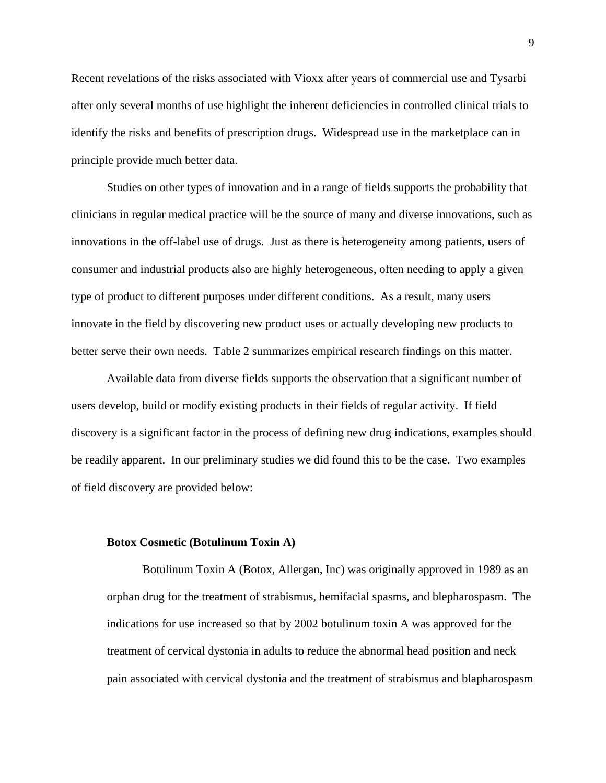Recent revelations of the risks associated with Vioxx after years of commercial use and Tysarbi after only several months of use highlight the inherent deficiencies in controlled clinical trials to identify the risks and benefits of prescription drugs. Widespread use in the marketplace can in principle provide much better data.

Studies on other types of innovation and in a range of fields supports the probability that clinicians in regular medical practice will be the source of many and diverse innovations, such as innovations in the off-label use of drugs. Just as there is heterogeneity among patients, users of consumer and industrial products also are highly heterogeneous, often needing to apply a given type of product to different purposes under different conditions. As a result, many users innovate in the field by discovering new product uses or actually developing new products to better serve their own needs. Table 2 summarizes empirical research findings on this matter.

 Available data from diverse fields supports the observation that a significant number of users develop, build or modify existing products in their fields of regular activity. If field discovery is a significant factor in the process of defining new drug indications, examples should be readily apparent. In our preliminary studies we did found this to be the case. Two examples of field discovery are provided below:

#### **Botox Cosmetic (Botulinum Toxin A)**

 Botulinum Toxin A (Botox, Allergan, Inc) was originally approved in 1989 as an orphan drug for the treatment of strabismus, hemifacial spasms, and blepharospasm. The indications for use increased so that by 2002 botulinum toxin A was approved for the treatment of cervical dystonia in adults to reduce the abnormal head position and neck pain associated with cervical dystonia and the treatment of strabismus and blapharospasm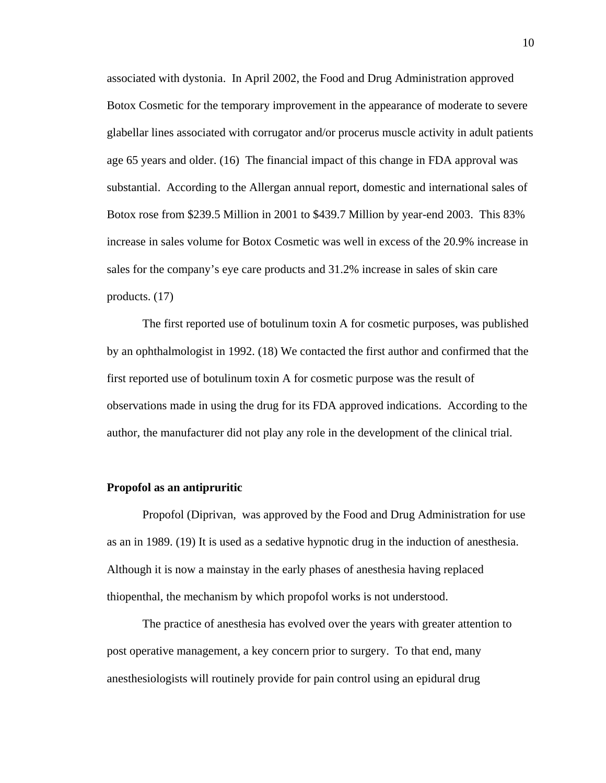associated with dystonia. In April 2002, the Food and Drug Administration approved Botox Cosmetic for the temporary improvement in the appearance of moderate to severe glabellar lines associated with corrugator and/or procerus muscle activity in adult patients age 65 years and older. (16) The financial impact of this change in FDA approval was substantial. According to the Allergan annual report, domestic and international sales of Botox rose from \$239.5 Million in 2001 to \$439.7 Million by year-end 2003. This 83% increase in sales volume for Botox Cosmetic was well in excess of the 20.9% increase in sales for the company's eye care products and 31.2% increase in sales of skin care products. (17)

 The first reported use of botulinum toxin A for cosmetic purposes, was published by an ophthalmologist in 1992. (18) We contacted the first author and confirmed that the first reported use of botulinum toxin A for cosmetic purpose was the result of observations made in using the drug for its FDA approved indications. According to the author, the manufacturer did not play any role in the development of the clinical trial.

#### **Propofol as an antipruritic**

 Propofol (Diprivan, was approved by the Food and Drug Administration for use as an in 1989. (19) It is used as a sedative hypnotic drug in the induction of anesthesia. Although it is now a mainstay in the early phases of anesthesia having replaced thiopenthal, the mechanism by which propofol works is not understood.

 The practice of anesthesia has evolved over the years with greater attention to post operative management, a key concern prior to surgery. To that end, many anesthesiologists will routinely provide for pain control using an epidural drug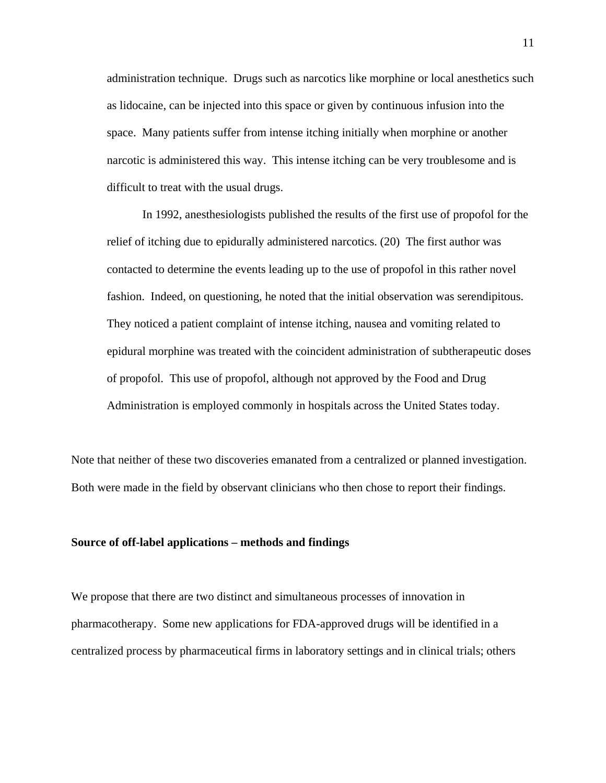administration technique. Drugs such as narcotics like morphine or local anesthetics such as lidocaine, can be injected into this space or given by continuous infusion into the space. Many patients suffer from intense itching initially when morphine or another narcotic is administered this way. This intense itching can be very troublesome and is difficult to treat with the usual drugs.

 In 1992, anesthesiologists published the results of the first use of propofol for the relief of itching due to epidurally administered narcotics. (20) The first author was contacted to determine the events leading up to the use of propofol in this rather novel fashion. Indeed, on questioning, he noted that the initial observation was serendipitous. They noticed a patient complaint of intense itching, nausea and vomiting related to epidural morphine was treated with the coincident administration of subtherapeutic doses of propofol. This use of propofol, although not approved by the Food and Drug Administration is employed commonly in hospitals across the United States today.

Note that neither of these two discoveries emanated from a centralized or planned investigation. Both were made in the field by observant clinicians who then chose to report their findings.

#### **Source of off-label applications – methods and findings**

We propose that there are two distinct and simultaneous processes of innovation in pharmacotherapy. Some new applications for FDA-approved drugs will be identified in a centralized process by pharmaceutical firms in laboratory settings and in clinical trials; others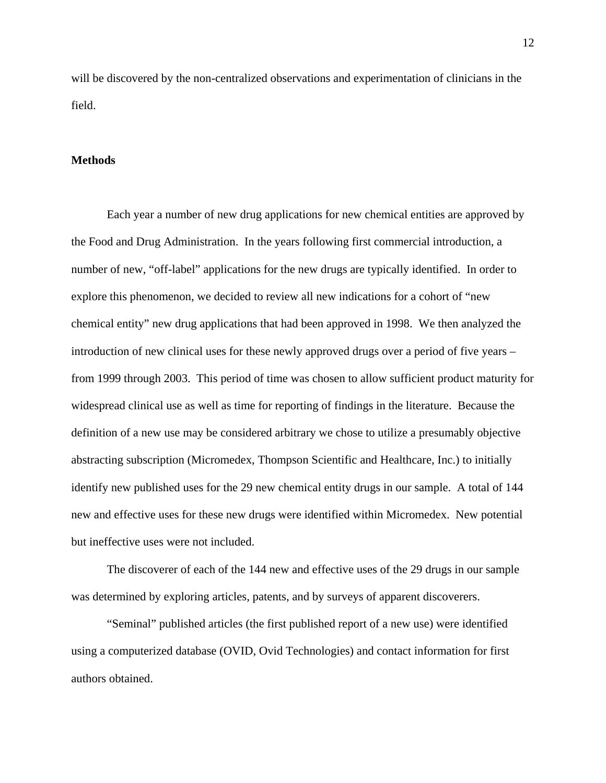will be discovered by the non-centralized observations and experimentation of clinicians in the field.

#### **Methods**

 Each year a number of new drug applications for new chemical entities are approved by the Food and Drug Administration. In the years following first commercial introduction, a number of new, "off-label" applications for the new drugs are typically identified. In order to explore this phenomenon, we decided to review all new indications for a cohort of "new chemical entity" new drug applications that had been approved in 1998. We then analyzed the introduction of new clinical uses for these newly approved drugs over a period of five years – from 1999 through 2003. This period of time was chosen to allow sufficient product maturity for widespread clinical use as well as time for reporting of findings in the literature. Because the definition of a new use may be considered arbitrary we chose to utilize a presumably objective abstracting subscription (Micromedex, Thompson Scientific and Healthcare, Inc.) to initially identify new published uses for the 29 new chemical entity drugs in our sample. A total of 144 new and effective uses for these new drugs were identified within Micromedex. New potential but ineffective uses were not included.

 The discoverer of each of the 144 new and effective uses of the 29 drugs in our sample was determined by exploring articles, patents, and by surveys of apparent discoverers.

 "Seminal" published articles (the first published report of a new use) were identified using a computerized database (OVID, Ovid Technologies) and contact information for first authors obtained.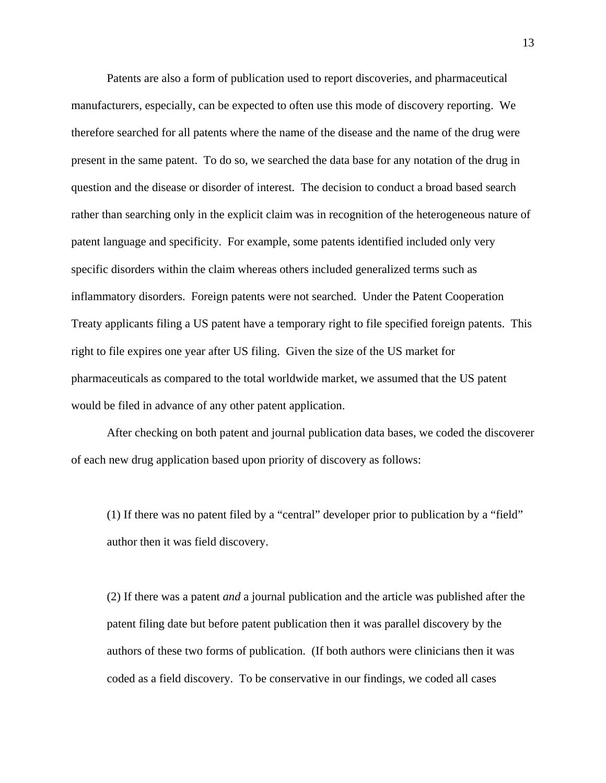Patents are also a form of publication used to report discoveries, and pharmaceutical manufacturers, especially, can be expected to often use this mode of discovery reporting. We therefore searched for all patents where the name of the disease and the name of the drug were present in the same patent. To do so, we searched the data base for any notation of the drug in question and the disease or disorder of interest. The decision to conduct a broad based search rather than searching only in the explicit claim was in recognition of the heterogeneous nature of patent language and specificity. For example, some patents identified included only very specific disorders within the claim whereas others included generalized terms such as inflammatory disorders. Foreign patents were not searched. Under the Patent Cooperation Treaty applicants filing a US patent have a temporary right to file specified foreign patents. This right to file expires one year after US filing. Given the size of the US market for pharmaceuticals as compared to the total worldwide market, we assumed that the US patent would be filed in advance of any other patent application.

 After checking on both patent and journal publication data bases, we coded the discoverer of each new drug application based upon priority of discovery as follows:

(1) If there was no patent filed by a "central" developer prior to publication by a "field" author then it was field discovery.

(2) If there was a patent *and* a journal publication and the article was published after the patent filing date but before patent publication then it was parallel discovery by the authors of these two forms of publication. (If both authors were clinicians then it was coded as a field discovery. To be conservative in our findings, we coded all cases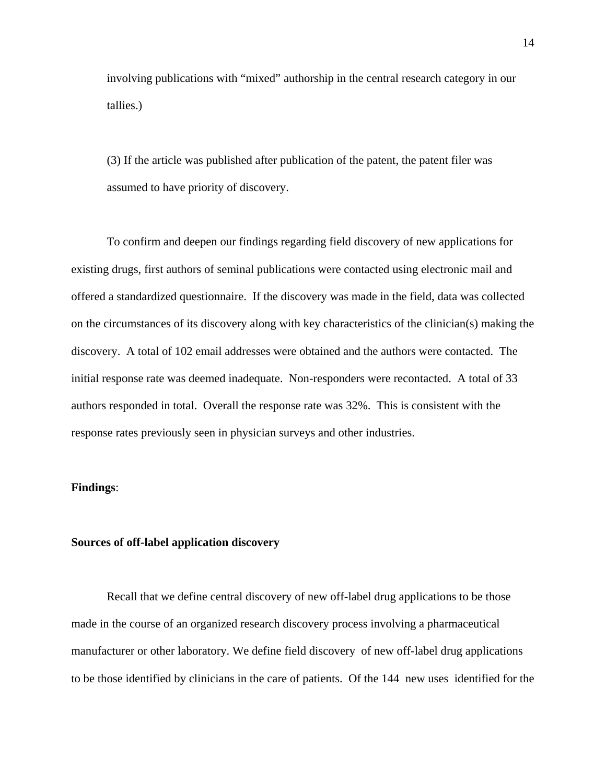involving publications with "mixed" authorship in the central research category in our tallies.)

(3) If the article was published after publication of the patent, the patent filer was assumed to have priority of discovery.

 To confirm and deepen our findings regarding field discovery of new applications for existing drugs, first authors of seminal publications were contacted using electronic mail and offered a standardized questionnaire. If the discovery was made in the field, data was collected on the circumstances of its discovery along with key characteristics of the clinician(s) making the discovery. A total of 102 email addresses were obtained and the authors were contacted. The initial response rate was deemed inadequate. Non-responders were recontacted. A total of 33 authors responded in total. Overall the response rate was 32%. This is consistent with the response rates previously seen in physician surveys and other industries.

#### **Findings**:

#### **Sources of off-label application discovery**

 Recall that we define central discovery of new off-label drug applications to be those made in the course of an organized research discovery process involving a pharmaceutical manufacturer or other laboratory. We define field discovery of new off-label drug applications to be those identified by clinicians in the care of patients. Of the 144 new uses identified for the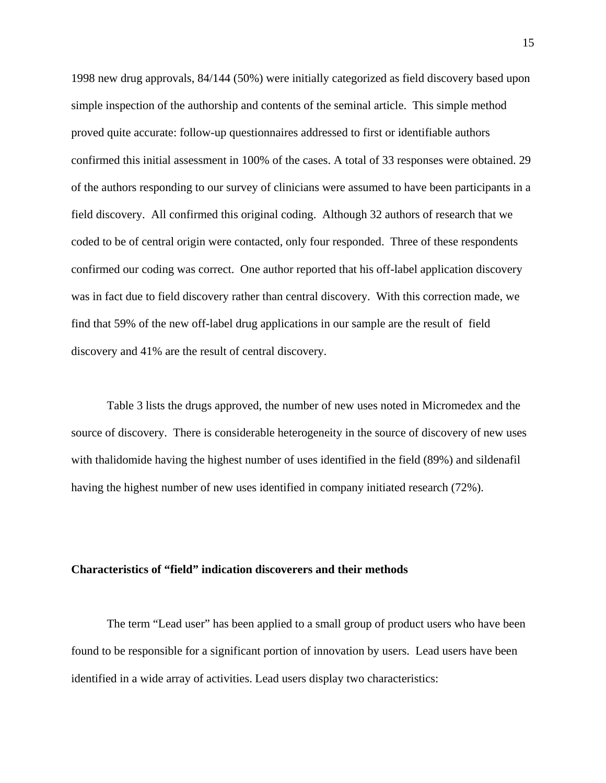1998 new drug approvals, 84/144 (50%) were initially categorized as field discovery based upon simple inspection of the authorship and contents of the seminal article. This simple method proved quite accurate: follow-up questionnaires addressed to first or identifiable authors confirmed this initial assessment in 100% of the cases. A total of 33 responses were obtained. 29 of the authors responding to our survey of clinicians were assumed to have been participants in a field discovery. All confirmed this original coding. Although 32 authors of research that we coded to be of central origin were contacted, only four responded. Three of these respondents confirmed our coding was correct. One author reported that his off-label application discovery was in fact due to field discovery rather than central discovery. With this correction made, we find that 59% of the new off-label drug applications in our sample are the result of field discovery and 41% are the result of central discovery.

Table 3 lists the drugs approved, the number of new uses noted in Micromedex and the source of discovery. There is considerable heterogeneity in the source of discovery of new uses with thalidomide having the highest number of uses identified in the field (89%) and sildenafil having the highest number of new uses identified in company initiated research (72%).

#### **Characteristics of "field" indication discoverers and their methods**

 The term "Lead user" has been applied to a small group of product users who have been found to be responsible for a significant portion of innovation by users. Lead users have been identified in a wide array of activities. Lead users display two characteristics: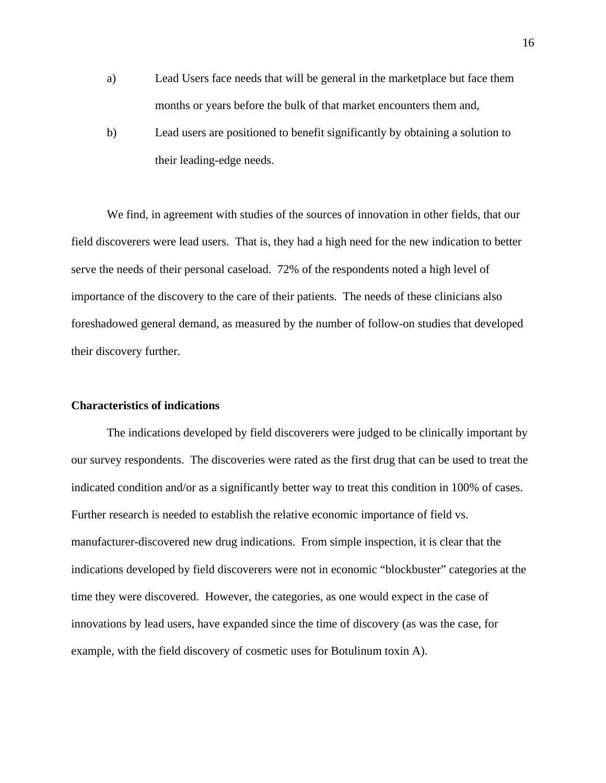- a) Lead Users face needs that will be general in the marketplace but face them months or years before the bulk of that market encounters them and,
- b) Lead users are positioned to benefit significantly by obtaining a solution to their leading-edge needs.

 We find, in agreement with studies of the sources of innovation in other fields, that our field discoverers were lead users. That is, they had a high need for the new indication to better serve the needs of their personal caseload. 72% of the respondents noted a high level of importance of the discovery to the care of their patients. The needs of these clinicians also foreshadowed general demand, as measured by the number of follow-on studies that developed their discovery further.

#### **Characteristics of indications**

 The indications developed by field discoverers were judged to be clinically important by our survey respondents. The discoveries were rated as the first drug that can be used to treat the indicated condition and/or as a significantly better way to treat this condition in 100% of cases. Further research is needed to establish the relative economic importance of field vs. manufacturer-discovered new drug indications. From simple inspection, it is clear that the indications developed by field discoverers were not in economic "blockbuster" categories at the time they were discovered. However, the categories, as one would expect in the case of innovations by lead users, have expanded since the time of discovery (as was the case, for example, with the field discovery of cosmetic uses for Botulinum toxin A).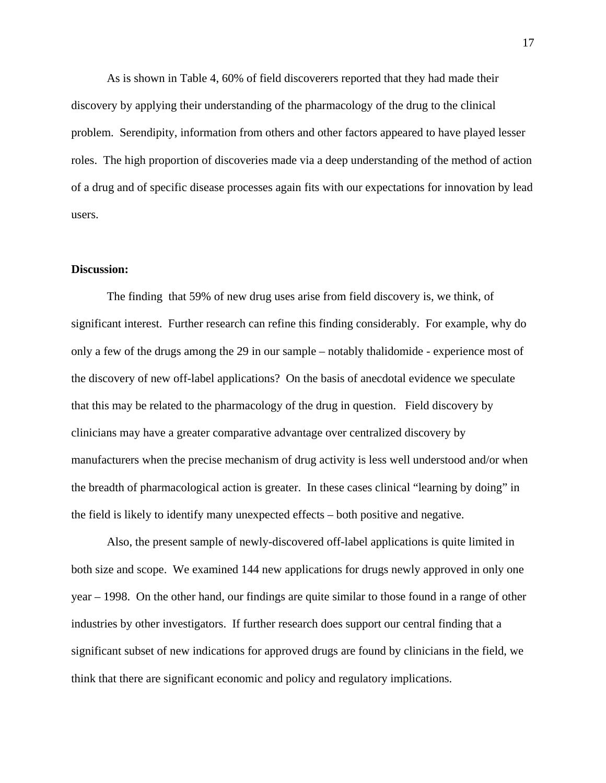As is shown in Table 4, 60% of field discoverers reported that they had made their discovery by applying their understanding of the pharmacology of the drug to the clinical problem. Serendipity, information from others and other factors appeared to have played lesser roles. The high proportion of discoveries made via a deep understanding of the method of action of a drug and of specific disease processes again fits with our expectations for innovation by lead users.

#### **Discussion:**

 The finding that 59% of new drug uses arise from field discovery is, we think, of significant interest. Further research can refine this finding considerably. For example, why do only a few of the drugs among the 29 in our sample – notably thalidomide - experience most of the discovery of new off-label applications? On the basis of anecdotal evidence we speculate that this may be related to the pharmacology of the drug in question. Field discovery by clinicians may have a greater comparative advantage over centralized discovery by manufacturers when the precise mechanism of drug activity is less well understood and/or when the breadth of pharmacological action is greater. In these cases clinical "learning by doing" in the field is likely to identify many unexpected effects – both positive and negative.

 Also, the present sample of newly-discovered off-label applications is quite limited in both size and scope. We examined 144 new applications for drugs newly approved in only one year – 1998. On the other hand, our findings are quite similar to those found in a range of other industries by other investigators. If further research does support our central finding that a significant subset of new indications for approved drugs are found by clinicians in the field, we think that there are significant economic and policy and regulatory implications.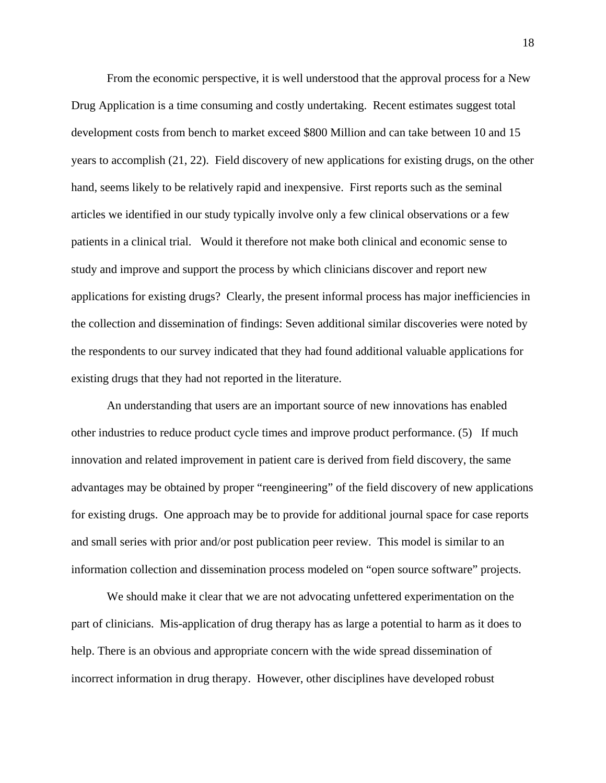From the economic perspective, it is well understood that the approval process for a New Drug Application is a time consuming and costly undertaking. Recent estimates suggest total development costs from bench to market exceed \$800 Million and can take between 10 and 15 years to accomplish (21, 22). Field discovery of new applications for existing drugs, on the other hand, seems likely to be relatively rapid and inexpensive. First reports such as the seminal articles we identified in our study typically involve only a few clinical observations or a few patients in a clinical trial. Would it therefore not make both clinical and economic sense to study and improve and support the process by which clinicians discover and report new applications for existing drugs? Clearly, the present informal process has major inefficiencies in the collection and dissemination of findings: Seven additional similar discoveries were noted by the respondents to our survey indicated that they had found additional valuable applications for existing drugs that they had not reported in the literature.

 An understanding that users are an important source of new innovations has enabled other industries to reduce product cycle times and improve product performance. (5) If much innovation and related improvement in patient care is derived from field discovery, the same advantages may be obtained by proper "reengineering" of the field discovery of new applications for existing drugs. One approach may be to provide for additional journal space for case reports and small series with prior and/or post publication peer review. This model is similar to an information collection and dissemination process modeled on "open source software" projects.

 We should make it clear that we are not advocating unfettered experimentation on the part of clinicians. Mis-application of drug therapy has as large a potential to harm as it does to help. There is an obvious and appropriate concern with the wide spread dissemination of incorrect information in drug therapy. However, other disciplines have developed robust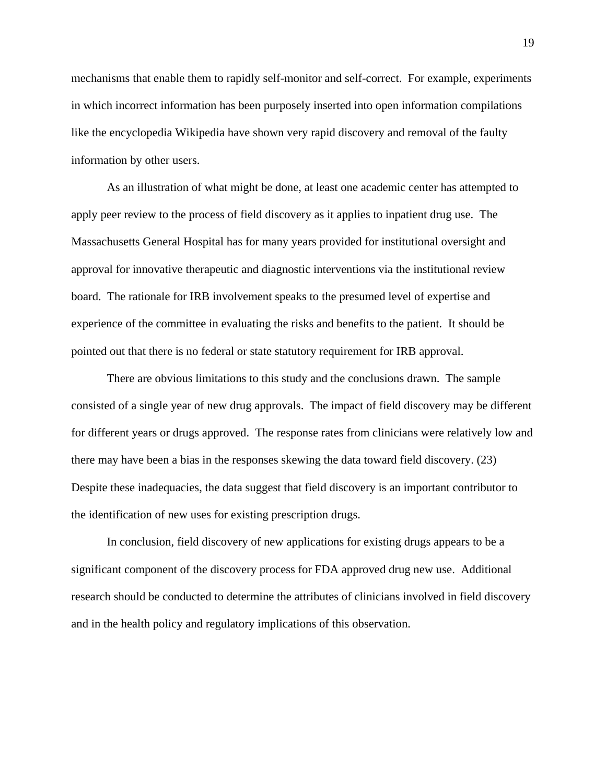mechanisms that enable them to rapidly self-monitor and self-correct. For example, experiments in which incorrect information has been purposely inserted into open information compilations like the encyclopedia Wikipedia have shown very rapid discovery and removal of the faulty information by other users.

 As an illustration of what might be done, at least one academic center has attempted to apply peer review to the process of field discovery as it applies to inpatient drug use. The Massachusetts General Hospital has for many years provided for institutional oversight and approval for innovative therapeutic and diagnostic interventions via the institutional review board. The rationale for IRB involvement speaks to the presumed level of expertise and experience of the committee in evaluating the risks and benefits to the patient. It should be pointed out that there is no federal or state statutory requirement for IRB approval.

There are obvious limitations to this study and the conclusions drawn. The sample consisted of a single year of new drug approvals. The impact of field discovery may be different for different years or drugs approved. The response rates from clinicians were relatively low and there may have been a bias in the responses skewing the data toward field discovery. (23) Despite these inadequacies, the data suggest that field discovery is an important contributor to the identification of new uses for existing prescription drugs.

 In conclusion, field discovery of new applications for existing drugs appears to be a significant component of the discovery process for FDA approved drug new use. Additional research should be conducted to determine the attributes of clinicians involved in field discovery and in the health policy and regulatory implications of this observation.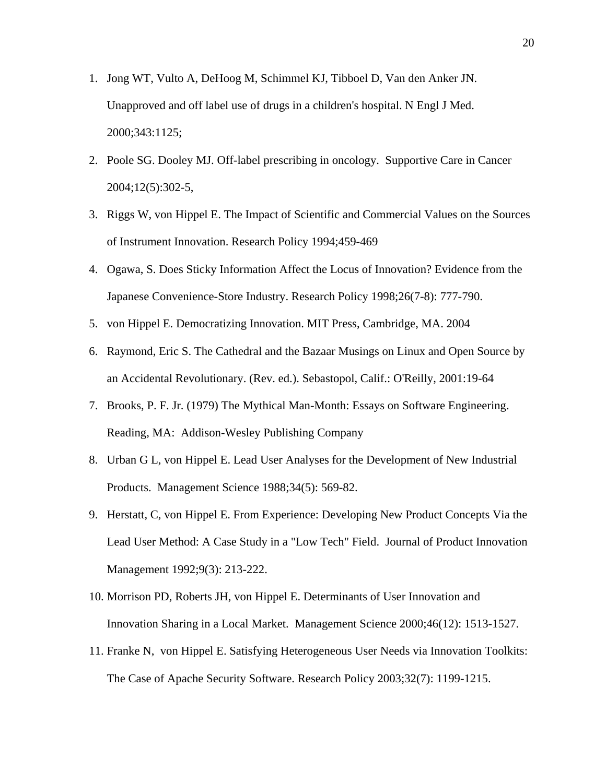- 1. Jong WT, Vulto A, DeHoog M, Schimmel KJ, Tibboel D, Van den Anker JN. Unapproved and off label use of drugs in a children's hospital. N Engl J Med. 2000;343:1125;
- 2. Poole SG. Dooley MJ. Off-label prescribing in oncology. Supportive Care in Cancer 2004;12(5):302-5,
- 3. Riggs W, von Hippel E. The Impact of Scientific and Commercial Values on the Sources of Instrument Innovation. Research Policy 1994;459-469
- 4. Ogawa, S. Does Sticky Information Affect the Locus of Innovation? Evidence from the Japanese Convenience-Store Industry. Research Policy 1998;26(7-8): 777-790.
- 5. von Hippel E. Democratizing Innovation. MIT Press, Cambridge, MA. 2004
- 6. Raymond, Eric S. The Cathedral and the Bazaar Musings on Linux and Open Source by an Accidental Revolutionary. (Rev. ed.). Sebastopol, Calif.: O'Reilly, 2001:19-64
- 7. Brooks, P. F. Jr. (1979) The Mythical Man-Month: Essays on Software Engineering. Reading, MA: Addison-Wesley Publishing Company
- 8. Urban G L, von Hippel E. Lead User Analyses for the Development of New Industrial Products. Management Science 1988;34(5): 569-82.
- 9. Herstatt, C, von Hippel E. From Experience: Developing New Product Concepts Via the Lead User Method: A Case Study in a "Low Tech" Field. Journal of Product Innovation Management 1992;9(3): 213-222.
- 10. Morrison PD, Roberts JH, von Hippel E. Determinants of User Innovation and Innovation Sharing in a Local Market. Management Science 2000;46(12): 1513-1527.
- 11. Franke N, von Hippel E. Satisfying Heterogeneous User Needs via Innovation Toolkits: The Case of Apache Security Software. Research Policy 2003;32(7): 1199-1215.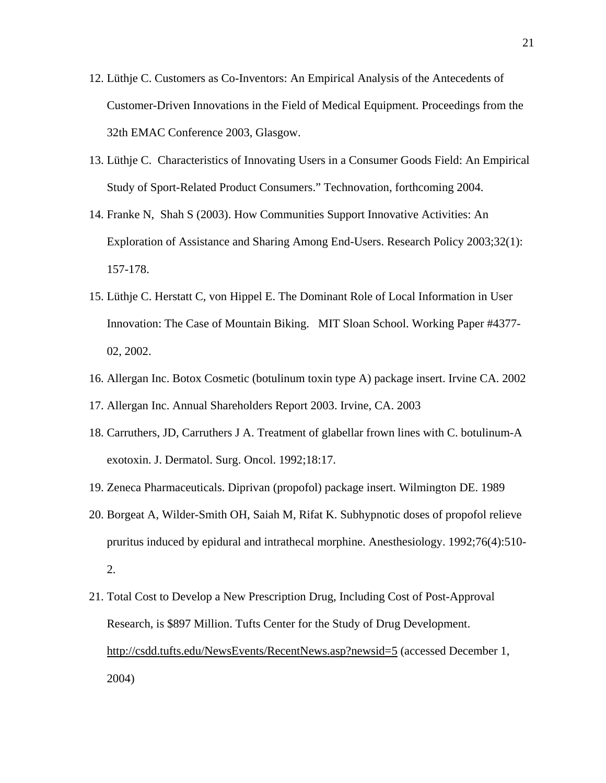- 12. Lüthje C. Customers as Co-Inventors: An Empirical Analysis of the Antecedents of Customer-Driven Innovations in the Field of Medical Equipment. Proceedings from the 32th EMAC Conference 2003, Glasgow.
- 13. Lüthje C. Characteristics of Innovating Users in a Consumer Goods Field: An Empirical Study of Sport-Related Product Consumers." Technovation, forthcoming 2004.
- 14. Franke N, Shah S (2003). How Communities Support Innovative Activities: An Exploration of Assistance and Sharing Among End-Users. Research Policy 2003;32(1): 157-178.
- 15. Lüthje C. Herstatt C, von Hippel E. The Dominant Role of Local Information in User Innovation: The Case of Mountain Biking. MIT Sloan School. Working Paper #4377- 02, 2002.
- 16. Allergan Inc. Botox Cosmetic (botulinum toxin type A) package insert. Irvine CA. 2002
- 17. Allergan Inc. Annual Shareholders Report 2003. Irvine, CA. 2003
- 18. Carruthers, JD, Carruthers J A. Treatment of glabellar frown lines with C. botulinum-A exotoxin. J. Dermatol. Surg. Oncol. 1992;18:17.
- 19. Zeneca Pharmaceuticals. Diprivan (propofol) package insert. Wilmington DE. 1989
- 20. Borgeat A, Wilder-Smith OH, Saiah M, Rifat K. Subhypnotic doses of propofol relieve pruritus induced by epidural and intrathecal morphine. Anesthesiology. 1992;76(4):510- 2.
- 21. Total Cost to Develop a New Prescription Drug, Including Cost of Post-Approval Research, is \$897 Million. Tufts Center for the Study of Drug Development. http://csdd.tufts.edu/NewsEvents/RecentNews.asp?newsid=5 (accessed December 1, 2004)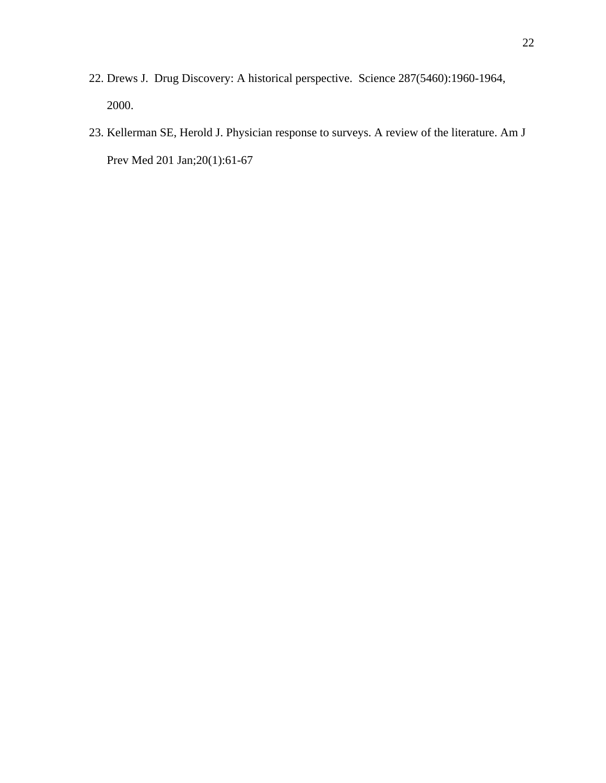- 22. Drews J. Drug Discovery: A historical perspective. Science 287(5460):1960-1964, 2000.
- 23. Kellerman SE, Herold J. Physician response to surveys. A review of the literature. Am J Prev Med 201 Jan;20(1):61-67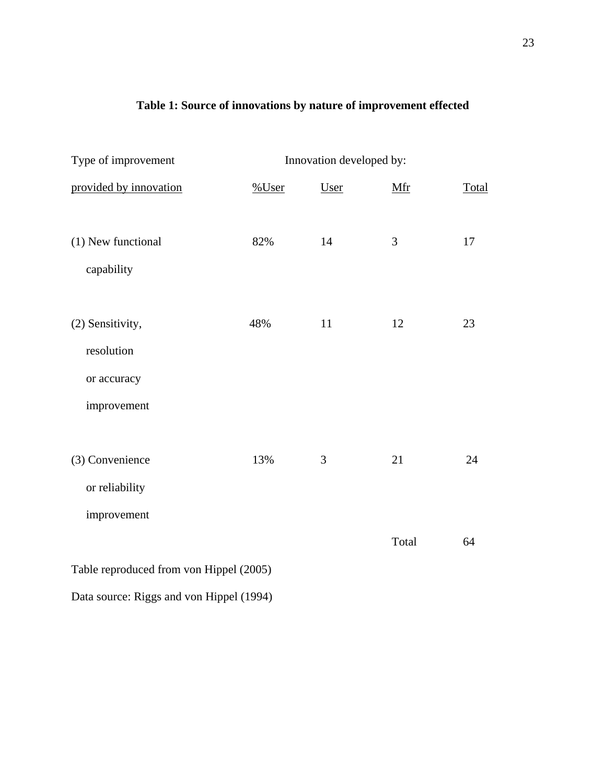### **Table 1: Source of innovations by nature of improvement effected**

| Type of improvement<br>Innovation developed by: |          |      |       |       |  |  |
|-------------------------------------------------|----------|------|-------|-------|--|--|
| provided by innovation                          | $%$ User | User | Mfr   | Total |  |  |
| (1) New functional<br>capability                | 82%      | 14   | 3     | 17    |  |  |
| (2) Sensitivity,<br>resolution                  | 48%      | 11   | 12    | 23    |  |  |
| or accuracy                                     |          |      |       |       |  |  |
| improvement                                     |          |      |       |       |  |  |
| (3) Convenience                                 | 13%      | 3    | 21    | 24    |  |  |
| or reliability                                  |          |      |       |       |  |  |
| improvement                                     |          |      |       |       |  |  |
|                                                 |          |      | Total | 64    |  |  |
| Table reproduced from von Hippel (2005)         |          |      |       |       |  |  |

Data source: Riggs and von Hippel (1994)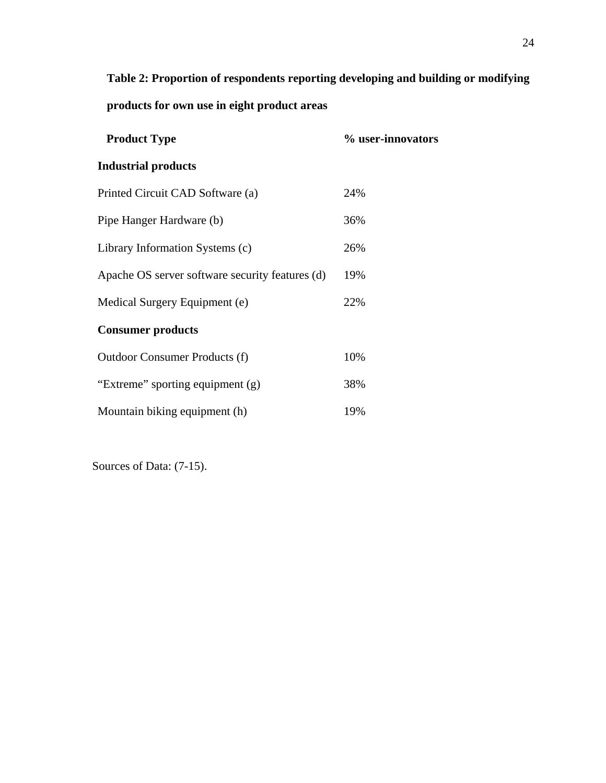**Table 2: Proportion of respondents reporting developing and building or modifying** 

**products for own use in eight product areas** 

| <b>Product Type</b>                             | % user-innovators |
|-------------------------------------------------|-------------------|
| <b>Industrial products</b>                      |                   |
| Printed Circuit CAD Software (a)                | 24%               |
| Pipe Hanger Hardware (b)                        | 36%               |
| Library Information Systems (c)                 | 26%               |
| Apache OS server software security features (d) | 19%               |
| Medical Surgery Equipment (e)                   | 22%               |
| <b>Consumer products</b>                        |                   |
| Outdoor Consumer Products (f)                   | 10%               |
| "Extreme" sporting equipment (g)                | 38%               |
| Mountain biking equipment (h)                   | 19%               |

Sources of Data: (7-15).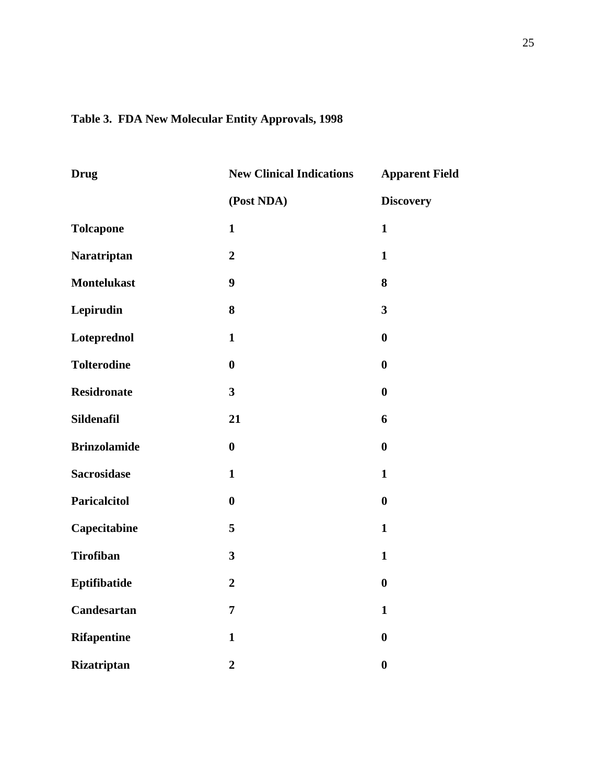### **Table 3. FDA New Molecular Entity Approvals, 1998**

| <b>Drug</b>         | <b>New Clinical Indications</b> | <b>Apparent Field</b>   |
|---------------------|---------------------------------|-------------------------|
|                     | (Post NDA)                      | <b>Discovery</b>        |
| <b>Tolcapone</b>    | $\mathbf{1}$                    | $\mathbf{1}$            |
| Naratriptan         | $\overline{2}$                  | $\mathbf{1}$            |
| <b>Montelukast</b>  | 9                               | 8                       |
| Lepirudin           | 8                               | $\overline{\mathbf{3}}$ |
| Loteprednol         | $\mathbf{1}$                    | $\bf{0}$                |
| <b>Tolterodine</b>  | $\boldsymbol{0}$                | $\bf{0}$                |
| <b>Residronate</b>  | $\overline{\mathbf{3}}$         | $\bf{0}$                |
| Sildenafil          | 21                              | 6                       |
| <b>Brinzolamide</b> | $\boldsymbol{0}$                | $\bf{0}$                |
| <b>Sacrosidase</b>  | $\mathbf{1}$                    | $\mathbf{1}$            |
| <b>Paricalcitol</b> | $\boldsymbol{0}$                | $\bf{0}$                |
| Capecitabine        | 5                               | $\mathbf{1}$            |
| <b>Tirofiban</b>    | $\overline{\mathbf{3}}$         | $\mathbf{1}$            |
| Eptifibatide        | $\overline{2}$                  | $\bf{0}$                |
| Candesartan         | $\overline{7}$                  | $\mathbf{1}$            |
| <b>Rifapentine</b>  | $\mathbf{1}$                    | $\boldsymbol{0}$        |
| Rizatriptan         | $\overline{2}$                  | $\bf{0}$                |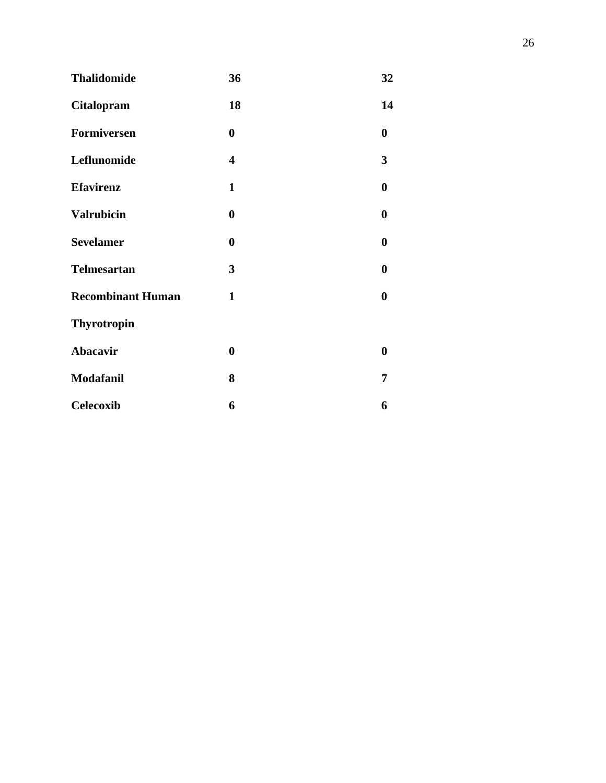| <b>Thalidomide</b>       | 36               | 32               |
|--------------------------|------------------|------------------|
| <b>Citalopram</b>        | 18               | 14               |
| Formiversen              | $\boldsymbol{0}$ | 0                |
| Leflunomide              | 4                | 3                |
| <b>Efavirenz</b>         | $\mathbf{1}$     | 0                |
| <b>Valrubicin</b>        | $\boldsymbol{0}$ | 0                |
| <b>Sevelamer</b>         | $\boldsymbol{0}$ | $\boldsymbol{0}$ |
| <b>Telmesartan</b>       | 3                | $\boldsymbol{0}$ |
| <b>Recombinant Human</b> | $\mathbf{1}$     | 0                |
| <b>Thyrotropin</b>       |                  |                  |
| Abacavir                 | $\boldsymbol{0}$ | $\boldsymbol{0}$ |
| Modafanil                | 8                | 7                |
| <b>Celecoxib</b>         | 6                | 6                |